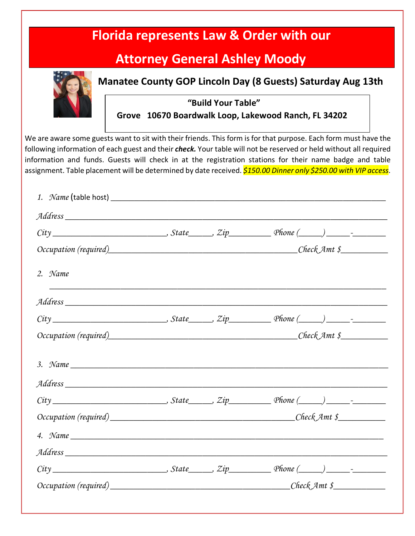|         | <b>Attorney General Ashley Moody</b>                                       |  |                                                                                                                                                                                                                                                                                                                                                                                                                                                                                          |  |  |  |  |
|---------|----------------------------------------------------------------------------|--|------------------------------------------------------------------------------------------------------------------------------------------------------------------------------------------------------------------------------------------------------------------------------------------------------------------------------------------------------------------------------------------------------------------------------------------------------------------------------------------|--|--|--|--|
|         |                                                                            |  | <b>Manatee County GOP Lincoln Day (8 Guests) Saturday Aug 13th</b>                                                                                                                                                                                                                                                                                                                                                                                                                       |  |  |  |  |
|         | "Build Your Table"<br>Grove 10670 Boardwalk Loop, Lakewood Ranch, FL 34202 |  |                                                                                                                                                                                                                                                                                                                                                                                                                                                                                          |  |  |  |  |
|         |                                                                            |  | We are aware some guests want to sit with their friends. This form is for that purpose. Each form must have the<br>following information of each guest and their <i>check</i> . Your table will not be reserved or held without all required<br>information and funds. Guests will check in at the registration stations for their name badge and table<br>assignment. Table placement will be determined by date received. <mark>\$150.00 Dinner only \$250.00 with VIP access</mark> . |  |  |  |  |
|         |                                                                            |  |                                                                                                                                                                                                                                                                                                                                                                                                                                                                                          |  |  |  |  |
|         |                                                                            |  |                                                                                                                                                                                                                                                                                                                                                                                                                                                                                          |  |  |  |  |
|         |                                                                            |  |                                                                                                                                                                                                                                                                                                                                                                                                                                                                                          |  |  |  |  |
| 2. Name |                                                                            |  |                                                                                                                                                                                                                                                                                                                                                                                                                                                                                          |  |  |  |  |
|         |                                                                            |  |                                                                                                                                                                                                                                                                                                                                                                                                                                                                                          |  |  |  |  |
|         |                                                                            |  |                                                                                                                                                                                                                                                                                                                                                                                                                                                                                          |  |  |  |  |
|         |                                                                            |  |                                                                                                                                                                                                                                                                                                                                                                                                                                                                                          |  |  |  |  |
|         |                                                                            |  | 3. Name $\frac{1}{\sqrt{1-\frac{1}{2}}\sqrt{1-\frac{1}{2}}\sqrt{1-\frac{1}{2}}\sqrt{1-\frac{1}{2}}\sqrt{1-\frac{1}{2}}\sqrt{1-\frac{1}{2}}\sqrt{1-\frac{1}{2}}\sqrt{1-\frac{1}{2}}\sqrt{1-\frac{1}{2}}\sqrt{1-\frac{1}{2}}\sqrt{1-\frac{1}{2}}\sqrt{1-\frac{1}{2}}\sqrt{1-\frac{1}{2}}\sqrt{1-\frac{1}{2}}\sqrt{1-\frac{1}{2}}\sqrt{1-\frac{1}{2}}\sqrt{1-\frac{1}{2}}\sqrt{1-\frac{1}{2}}\sqrt{1-\frac{1}{$                                                                             |  |  |  |  |
|         |                                                                            |  |                                                                                                                                                                                                                                                                                                                                                                                                                                                                                          |  |  |  |  |
|         |                                                                            |  |                                                                                                                                                                                                                                                                                                                                                                                                                                                                                          |  |  |  |  |
|         |                                                                            |  |                                                                                                                                                                                                                                                                                                                                                                                                                                                                                          |  |  |  |  |
|         |                                                                            |  | 4. Name $\frac{1}{\sqrt{1-\frac{1}{2}}\sqrt{1-\frac{1}{2}}\sqrt{1-\frac{1}{2}}\sqrt{1-\frac{1}{2}}\sqrt{1-\frac{1}{2}}\sqrt{1-\frac{1}{2}}\sqrt{1-\frac{1}{2}}\sqrt{1-\frac{1}{2}}\sqrt{1-\frac{1}{2}}\sqrt{1-\frac{1}{2}}\sqrt{1-\frac{1}{2}}\sqrt{1-\frac{1}{2}}\sqrt{1-\frac{1}{2}}\sqrt{1-\frac{1}{2}}\sqrt{1-\frac{1}{2}}\sqrt{1-\frac{1}{2}}\sqrt{1-\frac{1}{2}}\sqrt{1-\frac{1}{2}}\sqrt{1-\frac{1}{$                                                                             |  |  |  |  |
|         |                                                                            |  |                                                                                                                                                                                                                                                                                                                                                                                                                                                                                          |  |  |  |  |
|         |                                                                            |  |                                                                                                                                                                                                                                                                                                                                                                                                                                                                                          |  |  |  |  |
|         |                                                                            |  |                                                                                                                                                                                                                                                                                                                                                                                                                                                                                          |  |  |  |  |